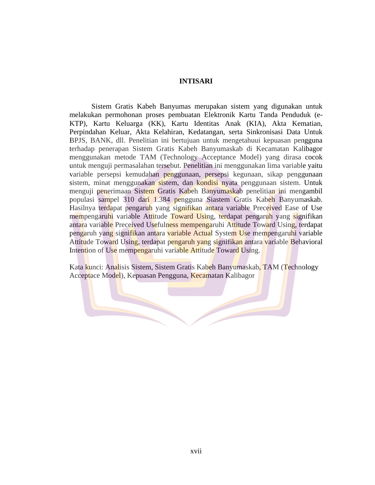## **INTISARI**

Sistem Gratis Kabeh Banyumas merupakan sistem yang digunakan untuk melakukan permohonan proses pembuatan Elektronik Kartu Tanda Penduduk (e-KTP), Kartu Keluarga (KK), Kartu Identitas Anak (KIA), Akta Kematian, Perpindahan Keluar, Akta Kelahiran, Kedatangan, serta Sinkronisasi Data Untuk BPJS, BANK, dll. Penelitian ini bertujuan untuk mengetahuui kepuasan pengguna terhadap penerapan Sistem Gratis Kabeh Banyumaskab di Kecamatan Kalibagor menggunakan metode TAM (Technology Acceptance Model) yang dirasa cocok untuk menguji permasalahan tersebut. Penelitian ini menggunakan lima variable yaitu variable persepsi kemudahan penggunaan, persepsi kegunaan, sikap penggunaan sistem, minat menggunakan sistem, dan kondisi nyata penggunaan sistem. Untuk menguji penerimaan Sistem Gratis Kabeh Banyumaskab penelitian ini mengambil populasi sampel 310 dari 1.384 pengguna Siastem Gratis Kabeh Banyumaskab. Hasilnya terdapat pengaruh yang signifikan antara variable Preceived Ease of Use mempengaruhi variable Attitude Toward Using, terdapat pengaruh yang signifikan antara variable Preceived Usefulness mempengaruhi Attitude Toward Using, terdapat pengaruh yang signifikan antara variable Actual System Use mempengaruhi variable Attitude Toward Using, terdapat pengaruh yang signifikan antara variable Behavioral Intention of Use mempengaruhi variable Attitude Toward Using.

Kata kunci: Analisis Sistem, Sistem Gratis Kabeh Banyumaskab, TAM (Technology Acceptace Model), Kepuasan Pengguna, Kecamatan Kalibagor